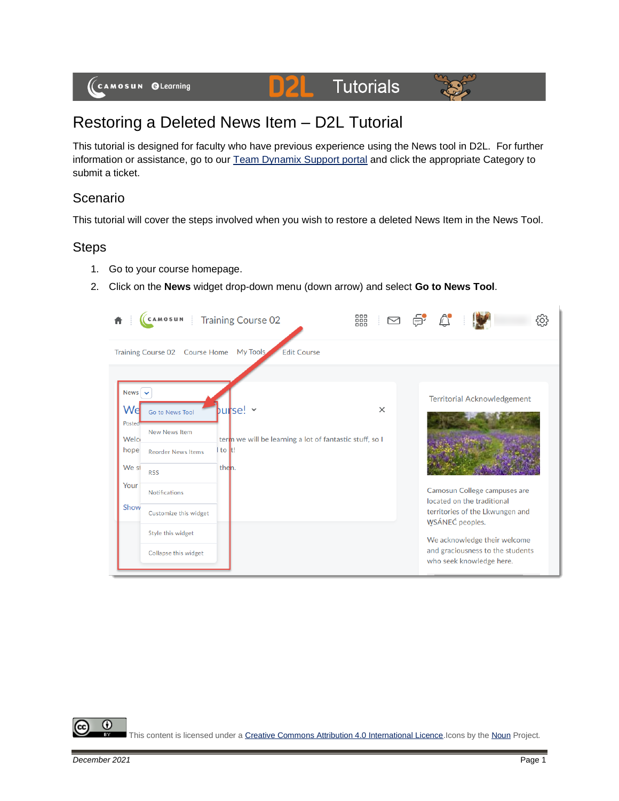

# Restoring a Deleted News Item – D2L Tutorial

This tutorial is designed for faculty who have previous experience using the News tool in D2L. For further information or assistance, go to our [Team Dynamix Support portal](https://camosun.teamdynamix.com/TDClient/67/Portal/Requests/ServiceCatalog?CategoryID=523) and click the appropriate Category to submit a ticket.

## Scenario

This tutorial will cover the steps involved when you wish to restore a deleted News Item in the News Tool.

### **Steps**

- 1. Go to your course homepage.
- 2. Click on the **News** widget drop-down menu (down arrow) and select **Go to News Tool**.

|                                                                        | CAMOSUN                                                                                                                                                                          | Training Course 02                                                                      | $\text{C} \quad \text{and} \quad \text{C} \quad \text{C} \quad \text{C} \quad \text{C} \quad \text{C} \quad \text{C} \quad \text{C} \quad \text{C} \quad \text{C} \quad \text{C} \quad \text{C} \quad \text{C} \quad \text{C} \quad \text{C} \quad \text{C} \quad \text{C} \quad \text{C} \quad \text{C} \quad \text{C} \quad \text{C} \quad \text{C} \quad \text{C} \quad \text{C} \quad \text{C} \quad \text{C} \quad \text{C} \quad \text{C} \quad \text{C} \quad \text{C} \quad \text{$ | $\mathbb{A}$                                                                                                                                                                                                                                           |  |  |
|------------------------------------------------------------------------|----------------------------------------------------------------------------------------------------------------------------------------------------------------------------------|-----------------------------------------------------------------------------------------|---------------------------------------------------------------------------------------------------------------------------------------------------------------------------------------------------------------------------------------------------------------------------------------------------------------------------------------------------------------------------------------------------------------------------------------------------------------------------------------------|--------------------------------------------------------------------------------------------------------------------------------------------------------------------------------------------------------------------------------------------------------|--|--|
| My Tools<br><b>Edit Course</b><br>Training Course 02 Course Home       |                                                                                                                                                                                  |                                                                                         |                                                                                                                                                                                                                                                                                                                                                                                                                                                                                             |                                                                                                                                                                                                                                                        |  |  |
| News $\sim$<br>Wel<br>Posted<br>Welci<br>hope<br>We st<br>Your<br>Show | Go to News Tool<br><b>New News Item</b><br><b>Reorder News Items</b><br><b>RSS</b><br><b>Notifications</b><br>Customize this widget<br>Style this widget<br>Collapse this widget | purse! ~<br>terin we will be learning a lot of fantastic stuff, so I<br>to It!<br>then. | $\times$                                                                                                                                                                                                                                                                                                                                                                                                                                                                                    | <b>Territorial Acknowledgement</b><br>Camosun College campuses are<br>located on the traditional<br>territories of the Lkwungen and<br>WSÁNEC peoples.<br>We acknowledge their welcome<br>and graciousness to the students<br>who seek knowledge here. |  |  |

0 This content is licensed under [a Creative Commons Attribution 4.0 International Licence.I](https://creativecommons.org/licenses/by/4.0/)cons by th[e Noun](https://creativecommons.org/website-icons/) Project.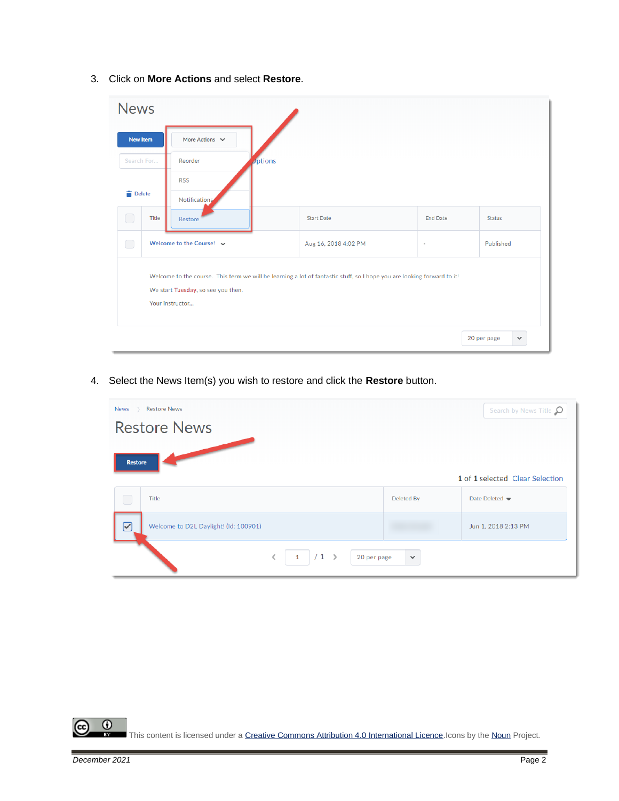| <b>News</b>                                                                                                                                                                      |                               |                           |                      |                   |                 |                             |  |
|----------------------------------------------------------------------------------------------------------------------------------------------------------------------------------|-------------------------------|---------------------------|----------------------|-------------------|-----------------|-----------------------------|--|
| <b>New Item</b>                                                                                                                                                                  |                               | More Actions $\vee$       |                      |                   |                 |                             |  |
| Search For                                                                                                                                                                       |                               | Reorder                   | $\mathcal{D}$ ptions |                   |                 |                             |  |
| <b>Delete</b>                                                                                                                                                                    |                               | <b>RSS</b>                |                      |                   |                 |                             |  |
|                                                                                                                                                                                  |                               | Notifications <sup></sup> |                      |                   |                 |                             |  |
| $\Box$                                                                                                                                                                           | Title                         | Restore                   |                      | <b>Start Date</b> | <b>End Date</b> | Status                      |  |
| $\bigcap$                                                                                                                                                                        | Welcome to the Course! $\vee$ |                           | Aug 16, 2018 4:02 PM | $\bar{a}$         | Published       |                             |  |
| Welcome to the course. This term we will be learning a lot of fantastic stuff, so I hope you are looking forward to it!<br>We start Tuesday, so see you then.<br>Your instructor |                               |                           |                      |                   |                 |                             |  |
|                                                                                                                                                                                  |                               |                           |                      |                   |                 | 20 per page<br>$\checkmark$ |  |

3. Click on **More Actions** and select **Restore**.

4. Select the News Item(s) you wish to restore and click the **Restore** button.

| <b>Restore News</b><br>News<br>Search by News Title $\Omega$<br><b>Restore News</b> |  |            |                                   |  |  |
|-------------------------------------------------------------------------------------|--|------------|-----------------------------------|--|--|
| <b>Restore</b><br>1 of 1 selected Clear Selection                                   |  |            |                                   |  |  |
| Title                                                                               |  | Deleted By | Date Deleted $\blacktriangledown$ |  |  |
| $\bm{\boxdot}$<br>Welcome to D2L Daylight! (Id: 100901)                             |  |            | Jun 1, 2018 2:13 PM               |  |  |
| $1$ / 1 ><br>$\langle$<br>20 per page<br>$\checkmark$                               |  |            |                                   |  |  |

 $\overline{0}$ (cc This content is licensed under [a Creative Commons Attribution 4.0 International Licence.I](https://creativecommons.org/licenses/by/4.0/)cons by th[e Noun](https://creativecommons.org/website-icons/) Project.